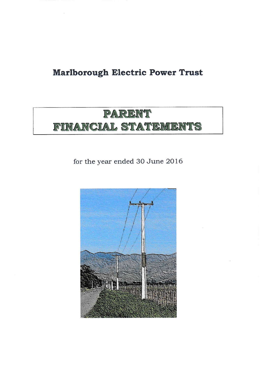# Marlborough Electric Power Trust

# PARENT FINANCIAL STATEMENTS

for the year ended 3O June 2016

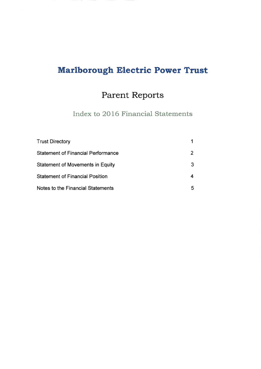# Marlborough Electric Power Trust

# Parent Reports

Index to 2016 Financial Statements

| <b>Trust Directory</b>                    |   |
|-------------------------------------------|---|
| <b>Statement of Financial Performance</b> |   |
| <b>Statement of Movements in Equity</b>   |   |
| <b>Statement of Financial Position</b>    |   |
| Notes to the Financial Statements         | b |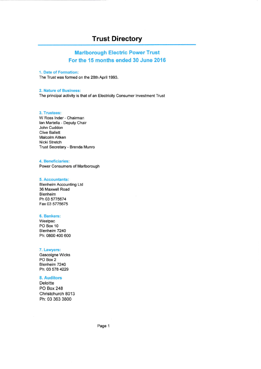## Trust Directory

### Marlborough Electric Power Trust For the 15 months ended 30 June 2016

### 1. Date of Formation:

The Trust was formed on the 28th April 1993.

#### 2. Nature of Business:

The principal activity is that of an Electricity Consumer lnvestment Trust

### 3. Trustees:

W Ross lnder - Chairman lan Martella - Deputy Chair John Cuddon Clive Ballett Malcolm Aitken Nicki Stretch Trust Secretary - Brenda Munro

#### 4. Beneficiaries:

Power Consumers of Marlborough

### 5. Accountants:

BlenheimAccounting Ltd 36 Maxwell Road Blenheim Ph 03 5775674 Fax 03 5775675

### 6. Bankers:

Westpac PO Box 10 Blenheim 7240 Ph: 0800 400 600

### 7. Lawyers:

Gascoigne Wicks PO Box 2 Blenheim 7240 Ph: 03 578 4229

### 8. Auditors

**Deloitte** PO Box 248 Christchurch 8013 Ph: 03 363 3800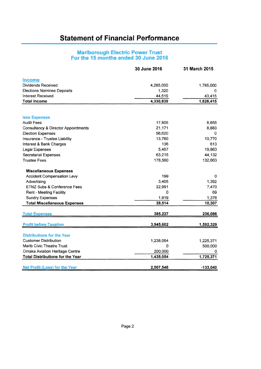## Statement of Financial Performance

### Marlborough Electric Power Trust For the 15 months ended 30 June 2016

|                                                | 30 June 2016 | 31 March 2015 |
|------------------------------------------------|--------------|---------------|
| Income                                         |              |               |
| <b>Dividends Received</b>                      | 4,285,000    | 1,785,000     |
| <b>Elections Nominee Deposits</b>              | 1,320        | $\Omega$      |
| <b>Interest Received</b>                       | 44,519       | 43,415        |
| <b>Total Income</b>                            | 4,330,839    | 1,828,415     |
|                                                |              |               |
| less Expenses                                  |              |               |
| <b>Audit Fees</b>                              | 17,805       | 8,855         |
| <b>Consultancy &amp; Director Appointments</b> | 21,171       | 8,883         |
| <b>Election Expenses</b>                       | 56,620       | 0             |
| Insurance - Trustee Liability                  | 13,760       | 10,770        |
| Interest & Bank Charges                        | 136          | 613           |
| Legal Expenses                                 | 5,457        | 19,863        |
| <b>Secretarial Expenses</b>                    | 63,215       | 44,132        |
| <b>Trustee Fees</b>                            | 178,560      | 132,663       |
| <b>Miscellaneous Expenses</b>                  |              |               |
| <b>Accident Compensation Levy</b>              | 199          | 0             |
| Advertising                                    | 3,405        | 1,392         |
| ETNZ Subs & Conference Fees                    | 22,991       | 7,470         |
| <b>Rent - Meeting Facility</b>                 | 0            | 69            |
| <b>Sundry Expenses</b>                         | 1,919        | 1,376         |
| <b>Total Miscellaneous Expenses</b>            | 28,514       | 10,307        |
| <b>Total Expenses</b>                          | 385,237      | 236,086       |
| <b>Profit before Taxation</b>                  | 3,945,602    | 1,592,329     |
|                                                |              |               |
| <b>Distributions for the Year</b>              |              |               |
| <b>Customer Distribution</b>                   | 1,238,054    | 1,225,371     |
| Marlb Civic Theatre Trust                      | 0            | 500,000       |
| Omaka Aviation Heritage Centre                 | 200,000      | 0             |
| <b>Total Distributions for the Year</b>        | 1,438,054    | 1,725,371     |
| <b>Net Profit (Loss) for the Year</b>          | 2,507,548    | $-133,040$    |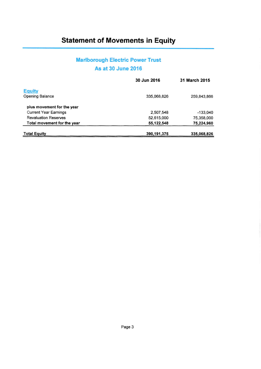## Statement of Movements in Equity

## Marlborough Electric Power Trust As at 30 June 2016

|                              | 30 Jun 2016 | <b>31 March 2015</b> |
|------------------------------|-------------|----------------------|
| <b>Equity</b>                |             |                      |
| Opening Balance              | 335,068,826 | 259,843,866          |
| plus movement for the year   |             |                      |
| <b>Current Year Earnings</b> | 2.507.548   | $-133.040$           |
| <b>Revaluation Reserves</b>  | 52,615,000  | 75,358,000           |
| Total movement for the year  | 55,122,548  | 75,224,960           |
| <b>Total Equity</b>          | 390,191,375 | 335,068,826          |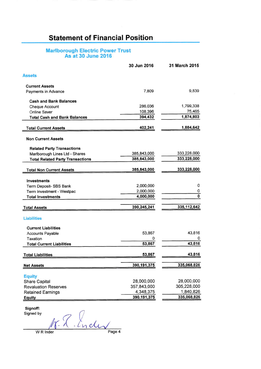## Statement of Financial Position

### Marlborough Electric Power Trust As at 30 June 2016

|                                         | 30 Jun 2016   | 31 March 2015 |
|-----------------------------------------|---------------|---------------|
| <b>Assets</b>                           |               |               |
| <b>Current Assets</b>                   |               |               |
| Payments in Advance                     | 7,809         | 9,839         |
| <b>Cash and Bank Balances</b>           |               |               |
| <b>Cheque Account</b>                   | 286,036       | 1,799,338     |
| Online Saver                            | 108,396       | 75,465        |
| <b>Total Cash and Bank Balances</b>     | 394,432       | 1,874,803     |
| <b>Total Current Assets</b>             | 402,241       | 1,884,642     |
| <b>Non Current Assets</b>               |               |               |
| <b>Related Party Transactions</b>       |               |               |
| Marlborough Lines Ltd - Shares          | 385,843,000   | 333,228,000   |
| <b>Total Related Party Transactions</b> | 385,843,000   | 333,228,000   |
| <b>Total Non Current Assets</b>         | 385,843,000   | 333,228,000   |
| Investments                             |               |               |
| Term Deposit- SBS Bank                  | 2,000,000     | 0             |
| Term Investment - Westpac               | 2,000,000     | 0             |
| <b>Total Investments</b>                | 4,000,000     | 0             |
|                                         | 390,245,241   | 335, 112, 642 |
| <b>Total Assets</b>                     |               |               |
| <b>Liabilities</b>                      |               |               |
| <b>Current Liabilities</b>              |               |               |
| <b>Accounts Payable</b>                 | 53,867        | 43,816        |
| Taxation                                | 0             | $\Omega$      |
| <b>Total Current Liabilities</b>        | 53,867        | 43,816        |
| <b>Total Liabilities</b>                | 53,867        | 43,816        |
| <b>Net Assets</b>                       | 390,191,375   | 335,068,826   |
|                                         |               |               |
| <b>Equity</b><br><b>Share Capital</b>   | 28,000,000    | 28,000,000    |
| <b>Revaluation Reserves</b>             | 357,843,000   | 305,228,000   |
| <b>Retained Earnings</b>                | 4,348,375     | 1,840,826     |
|                                         | 390, 191, 375 | 335,068,826   |
| <b>Equity</b>                           |               |               |

Signoff:<br>Signed by

Signed by  $\bigcap$  $\sqrt{\frac{N \cdot (M \cdot C_{\text{V}})}{P}}$  WR Inder